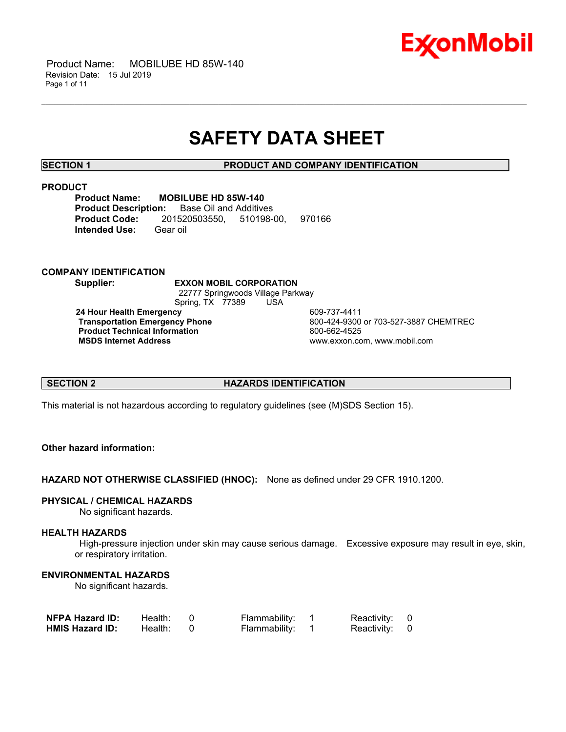

 Product Name: MOBILUBE HD 85W-140 Revision Date: 15 Jul 2019 Page 1 of 11

## **SAFETY DATA SHEET**

\_\_\_\_\_\_\_\_\_\_\_\_\_\_\_\_\_\_\_\_\_\_\_\_\_\_\_\_\_\_\_\_\_\_\_\_\_\_\_\_\_\_\_\_\_\_\_\_\_\_\_\_\_\_\_\_\_\_\_\_\_\_\_\_\_\_\_\_\_\_\_\_\_\_\_\_\_\_\_\_\_\_\_\_\_\_\_\_\_\_\_\_\_\_\_\_\_\_\_\_\_\_\_\_\_\_\_\_\_\_\_\_\_\_\_\_\_\_

**SECTION 1 PRODUCT AND COMPANY IDENTIFICATION**

#### **PRODUCT**

**Product Name: MOBILUBE HD 85W-140 Product Description:** Base Oil and Additives **Product Code:** 201520503550, 510198-00, 970166 **Intended Use:** Gear oil

#### **COMPANY IDENTIFICATION**

**Supplier: EXXON MOBIL CORPORATION** 22777 Springwoods Village Parkway Spring, TX 77389 USA **24 Hour Health Emergency** 609-737-4411 **Product Technical Information**<br> **MSDS Internet Address**<br> **MSDS Internet Address** 

**Transportation Emergency Phone** 800-424-9300 or 703-527-3887 CHEMTREC  **MSDS Internet Address** www.exxon.com, www.mobil.com

#### **SECTION 2 HAZARDS IDENTIFICATION**

This material is not hazardous according to regulatory guidelines (see (M)SDS Section 15).

### **Other hazard information:**

**HAZARD NOT OTHERWISE CLASSIFIED (HNOC):** None as defined under 29 CFR 1910.1200.

#### **PHYSICAL / CHEMICAL HAZARDS**

No significant hazards.

#### **HEALTH HAZARDS**

 High-pressure injection under skin may cause serious damage. Excessive exposure may result in eye, skin, or respiratory irritation.

### **ENVIRONMENTAL HAZARDS**

No significant hazards.

| <b>NFPA Hazard ID:</b> | Health: | Flammability: | Reactivity: 0 |  |
|------------------------|---------|---------------|---------------|--|
| <b>HMIS Hazard ID:</b> | Health: | Flammability: | Reactivity: 0 |  |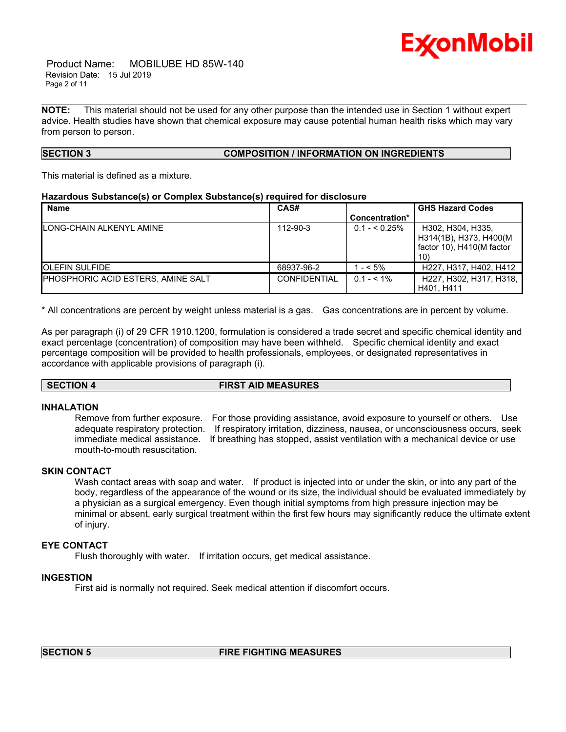

 Product Name: MOBILUBE HD 85W-140 Revision Date: 15 Jul 2019 Page 2 of 11

**NOTE:** This material should not be used for any other purpose than the intended use in Section 1 without expert advice. Health studies have shown that chemical exposure may cause potential human health risks which may vary from person to person.

\_\_\_\_\_\_\_\_\_\_\_\_\_\_\_\_\_\_\_\_\_\_\_\_\_\_\_\_\_\_\_\_\_\_\_\_\_\_\_\_\_\_\_\_\_\_\_\_\_\_\_\_\_\_\_\_\_\_\_\_\_\_\_\_\_\_\_\_\_\_\_\_\_\_\_\_\_\_\_\_\_\_\_\_\_\_\_\_\_\_\_\_\_\_\_\_\_\_\_\_\_\_\_\_\_\_\_\_\_\_\_\_\_\_\_\_\_\_

## **SECTION 3 COMPOSITION / INFORMATION ON INGREDIENTS**

This material is defined as a mixture.

#### **Hazardous Substance(s) or Complex Substance(s) required for disclosure**

| <b>Name</b>                        | CAS#                |                | <b>GHS Hazard Codes</b>                                                        |
|------------------------------------|---------------------|----------------|--------------------------------------------------------------------------------|
|                                    |                     | Concentration* |                                                                                |
| LONG-CHAIN ALKENYL AMINE           | 112-90-3            | $0.1 - 5.25\%$ | H302, H304, H335.<br>H314(1B), H373, H400(M<br>factor 10), H410(M factor<br>10 |
| <b>OLEFIN SULFIDE</b>              | 68937-96-2          | $-5\%$         | H227, H317, H402, H412                                                         |
| PHOSPHORIC ACID ESTERS, AMINE SALT | <b>CONFIDENTIAL</b> | $0.1 - 5.1\%$  | H227, H302, H317, H318, I<br>H401, H411                                        |

\* All concentrations are percent by weight unless material is a gas. Gas concentrations are in percent by volume.

As per paragraph (i) of 29 CFR 1910.1200, formulation is considered a trade secret and specific chemical identity and exact percentage (concentration) of composition may have been withheld. Specific chemical identity and exact percentage composition will be provided to health professionals, employees, or designated representatives in accordance with applicable provisions of paragraph (i).

#### **SECTION 4 FIRST AID MEASURES**

#### **INHALATION**

Remove from further exposure. For those providing assistance, avoid exposure to yourself or others. Use adequate respiratory protection. If respiratory irritation, dizziness, nausea, or unconsciousness occurs, seek immediate medical assistance. If breathing has stopped, assist ventilation with a mechanical device or use mouth-to-mouth resuscitation.

#### **SKIN CONTACT**

Wash contact areas with soap and water. If product is injected into or under the skin, or into any part of the body, regardless of the appearance of the wound or its size, the individual should be evaluated immediately by a physician as a surgical emergency. Even though initial symptoms from high pressure injection may be minimal or absent, early surgical treatment within the first few hours may significantly reduce the ultimate extent of injury.

#### **EYE CONTACT**

Flush thoroughly with water. If irritation occurs, get medical assistance.

#### **INGESTION**

First aid is normally not required. Seek medical attention if discomfort occurs.

#### **SECTION 5 FIRE FIGHTING MEASURES**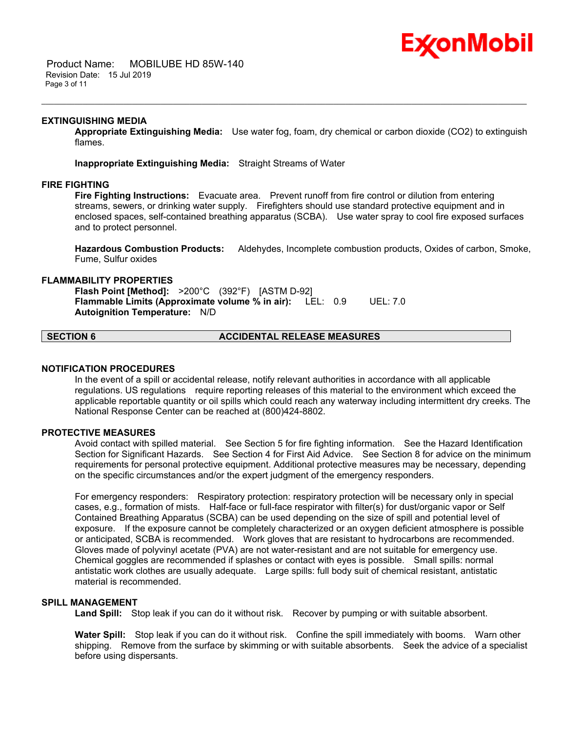## Ex⁄onMobil

 Product Name: MOBILUBE HD 85W-140 Revision Date: 15 Jul 2019 Page 3 of 11

### **EXTINGUISHING MEDIA**

**Appropriate Extinguishing Media:** Use water fog, foam, dry chemical or carbon dioxide (CO2) to extinguish flames.

\_\_\_\_\_\_\_\_\_\_\_\_\_\_\_\_\_\_\_\_\_\_\_\_\_\_\_\_\_\_\_\_\_\_\_\_\_\_\_\_\_\_\_\_\_\_\_\_\_\_\_\_\_\_\_\_\_\_\_\_\_\_\_\_\_\_\_\_\_\_\_\_\_\_\_\_\_\_\_\_\_\_\_\_\_\_\_\_\_\_\_\_\_\_\_\_\_\_\_\_\_\_\_\_\_\_\_\_\_\_\_\_\_\_\_\_\_\_

**Inappropriate Extinguishing Media:** Straight Streams of Water

### **FIRE FIGHTING**

**Fire Fighting Instructions:** Evacuate area. Prevent runoff from fire control or dilution from entering streams, sewers, or drinking water supply. Firefighters should use standard protective equipment and in enclosed spaces, self-contained breathing apparatus (SCBA). Use water spray to cool fire exposed surfaces and to protect personnel.

**Hazardous Combustion Products:** Aldehydes, Incomplete combustion products, Oxides of carbon, Smoke, Fume, Sulfur oxides

#### **FLAMMABILITY PROPERTIES**

**Flash Point [Method]:** >200°C (392°F) [ASTM D-92] **Flammable Limits (Approximate volume % in air):** LEL: 0.9 UEL: 7.0 **Autoignition Temperature:** N/D

## **SECTION 6 ACCIDENTAL RELEASE MEASURES**

#### **NOTIFICATION PROCEDURES**

In the event of a spill or accidental release, notify relevant authorities in accordance with all applicable regulations. US regulations require reporting releases of this material to the environment which exceed the applicable reportable quantity or oil spills which could reach any waterway including intermittent dry creeks. The National Response Center can be reached at (800)424-8802.

#### **PROTECTIVE MEASURES**

Avoid contact with spilled material. See Section 5 for fire fighting information. See the Hazard Identification Section for Significant Hazards. See Section 4 for First Aid Advice. See Section 8 for advice on the minimum requirements for personal protective equipment. Additional protective measures may be necessary, depending on the specific circumstances and/or the expert judgment of the emergency responders.

For emergency responders: Respiratory protection: respiratory protection will be necessary only in special cases, e.g., formation of mists. Half-face or full-face respirator with filter(s) for dust/organic vapor or Self Contained Breathing Apparatus (SCBA) can be used depending on the size of spill and potential level of exposure. If the exposure cannot be completely characterized or an oxygen deficient atmosphere is possible or anticipated, SCBA is recommended. Work gloves that are resistant to hydrocarbons are recommended. Gloves made of polyvinyl acetate (PVA) are not water-resistant and are not suitable for emergency use. Chemical goggles are recommended if splashes or contact with eyes is possible. Small spills: normal antistatic work clothes are usually adequate. Large spills: full body suit of chemical resistant, antistatic material is recommended.

#### **SPILL MANAGEMENT**

Land Spill: Stop leak if you can do it without risk. Recover by pumping or with suitable absorbent.

**Water Spill:** Stop leak if you can do it without risk. Confine the spill immediately with booms. Warn other shipping. Remove from the surface by skimming or with suitable absorbents. Seek the advice of a specialist before using dispersants.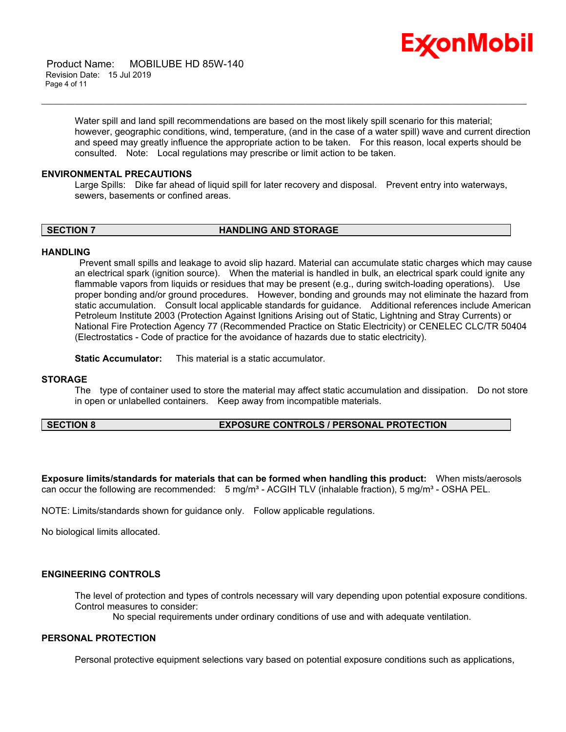

 Product Name: MOBILUBE HD 85W-140 Revision Date: 15 Jul 2019 Page 4 of 11

> Water spill and land spill recommendations are based on the most likely spill scenario for this material; however, geographic conditions, wind, temperature, (and in the case of a water spill) wave and current direction and speed may greatly influence the appropriate action to be taken. For this reason, local experts should be consulted. Note: Local regulations may prescribe or limit action to be taken.

#### **ENVIRONMENTAL PRECAUTIONS**

Large Spills: Dike far ahead of liquid spill for later recovery and disposal. Prevent entry into waterways, sewers, basements or confined areas.

\_\_\_\_\_\_\_\_\_\_\_\_\_\_\_\_\_\_\_\_\_\_\_\_\_\_\_\_\_\_\_\_\_\_\_\_\_\_\_\_\_\_\_\_\_\_\_\_\_\_\_\_\_\_\_\_\_\_\_\_\_\_\_\_\_\_\_\_\_\_\_\_\_\_\_\_\_\_\_\_\_\_\_\_\_\_\_\_\_\_\_\_\_\_\_\_\_\_\_\_\_\_\_\_\_\_\_\_\_\_\_\_\_\_\_\_\_\_

**SECTION 7 HANDLING AND STORAGE** 

#### **HANDLING**

 Prevent small spills and leakage to avoid slip hazard. Material can accumulate static charges which may cause an electrical spark (ignition source). When the material is handled in bulk, an electrical spark could ignite any flammable vapors from liquids or residues that may be present (e.g., during switch-loading operations). Use proper bonding and/or ground procedures. However, bonding and grounds may not eliminate the hazard from static accumulation. Consult local applicable standards for guidance. Additional references include American Petroleum Institute 2003 (Protection Against Ignitions Arising out of Static, Lightning and Stray Currents) or National Fire Protection Agency 77 (Recommended Practice on Static Electricity) or CENELEC CLC/TR 50404 (Electrostatics - Code of practice for the avoidance of hazards due to static electricity).

**Static Accumulator:** This material is a static accumulator.

#### **STORAGE**

The type of container used to store the material may affect static accumulation and dissipation. Do not store in open or unlabelled containers. Keep away from incompatible materials.

#### **SECTION 8 EXPOSURE CONTROLS / PERSONAL PROTECTION**

**Exposure limits/standards for materials that can be formed when handling this product:** When mists/aerosols can occur the following are recommended: 5 mg/m<sup>3</sup> - ACGIH TLV (inhalable fraction), 5 mg/m<sup>3</sup> - OSHA PEL.

NOTE: Limits/standards shown for guidance only. Follow applicable regulations.

No biological limits allocated.

### **ENGINEERING CONTROLS**

The level of protection and types of controls necessary will vary depending upon potential exposure conditions. Control measures to consider:

No special requirements under ordinary conditions of use and with adequate ventilation.

#### **PERSONAL PROTECTION**

Personal protective equipment selections vary based on potential exposure conditions such as applications,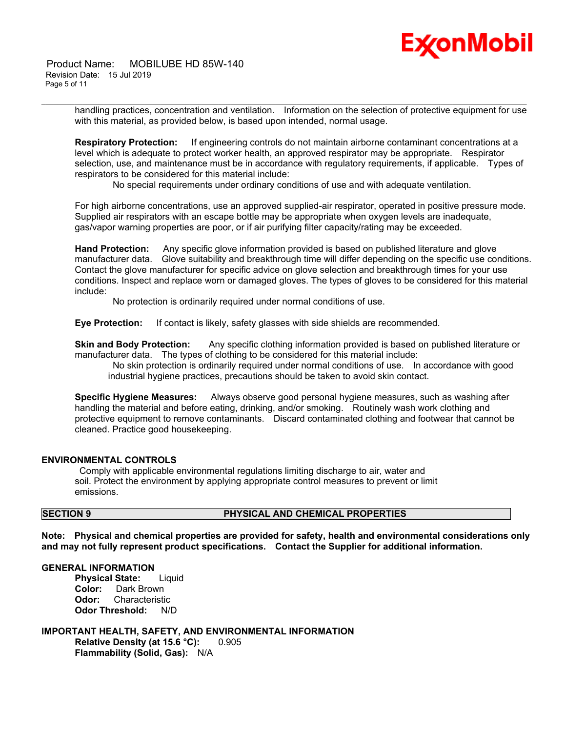# Ex⁄onMobil

 Product Name: MOBILUBE HD 85W-140 Revision Date: 15 Jul 2019 Page 5 of 11

\_\_\_\_\_\_\_\_\_\_\_\_\_\_\_\_\_\_\_\_\_\_\_\_\_\_\_\_\_\_\_\_\_\_\_\_\_\_\_\_\_\_\_\_\_\_\_\_\_\_\_\_\_\_\_\_\_\_\_\_\_\_\_\_\_\_\_\_\_\_\_\_\_\_\_\_\_\_\_\_\_\_\_\_\_\_\_\_\_\_\_\_\_\_\_\_\_\_\_\_\_\_\_\_\_\_\_\_\_\_\_\_\_\_\_\_\_\_ handling practices, concentration and ventilation. Information on the selection of protective equipment for use with this material, as provided below, is based upon intended, normal usage.

**Respiratory Protection:** If engineering controls do not maintain airborne contaminant concentrations at a level which is adequate to protect worker health, an approved respirator may be appropriate. Respirator selection, use, and maintenance must be in accordance with regulatory requirements, if applicable. Types of respirators to be considered for this material include:

No special requirements under ordinary conditions of use and with adequate ventilation.

For high airborne concentrations, use an approved supplied-air respirator, operated in positive pressure mode. Supplied air respirators with an escape bottle may be appropriate when oxygen levels are inadequate, gas/vapor warning properties are poor, or if air purifying filter capacity/rating may be exceeded.

**Hand Protection:** Any specific glove information provided is based on published literature and glove manufacturer data. Glove suitability and breakthrough time will differ depending on the specific use conditions. Contact the glove manufacturer for specific advice on glove selection and breakthrough times for your use conditions. Inspect and replace worn or damaged gloves. The types of gloves to be considered for this material include:

No protection is ordinarily required under normal conditions of use.

**Eye Protection:** If contact is likely, safety glasses with side shields are recommended.

**Skin and Body Protection:** Any specific clothing information provided is based on published literature or manufacturer data. The types of clothing to be considered for this material include:

 No skin protection is ordinarily required under normal conditions of use. In accordance with good industrial hygiene practices, precautions should be taken to avoid skin contact.

**Specific Hygiene Measures:** Always observe good personal hygiene measures, such as washing after handling the material and before eating, drinking, and/or smoking. Routinely wash work clothing and protective equipment to remove contaminants. Discard contaminated clothing and footwear that cannot be cleaned. Practice good housekeeping.

#### **ENVIRONMENTAL CONTROLS**

 Comply with applicable environmental regulations limiting discharge to air, water and soil. Protect the environment by applying appropriate control measures to prevent or limit emissions.

## **SECTION 9 PHYSICAL AND CHEMICAL PROPERTIES**

**Note: Physical and chemical properties are provided for safety, health and environmental considerations only and may not fully represent product specifications. Contact the Supplier for additional information.**

#### **GENERAL INFORMATION**

**Physical State:** Liquid **Color:** Dark Brown **Odor:** Characteristic **Odor Threshold:** N/D

**IMPORTANT HEALTH, SAFETY, AND ENVIRONMENTAL INFORMATION Relative Density (at 15.6 °C):** 0.905 **Flammability (Solid, Gas):** N/A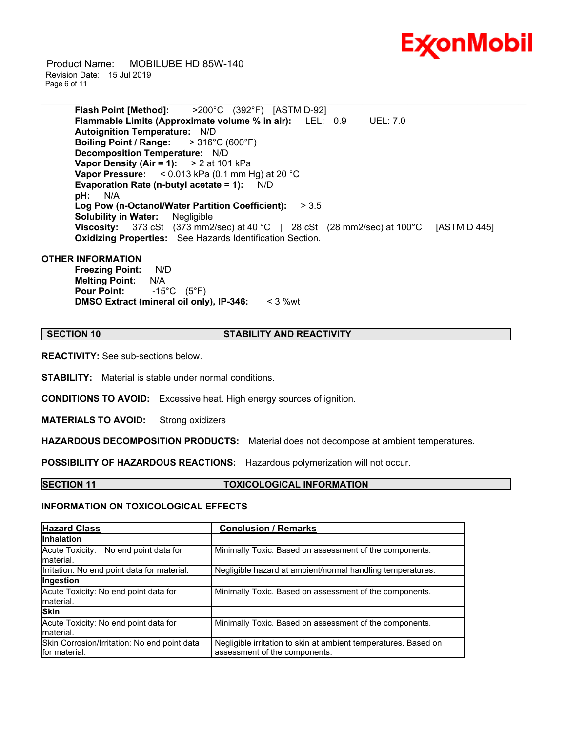

 Product Name: MOBILUBE HD 85W-140 Revision Date: 15 Jul 2019 Page 6 of 11

> **Flash Point [Method]:** >200°C (392°F) [ASTM D-92] **Flammable Limits (Approximate volume % in air):** LEL: 0.9 UEL: 7.0 **Autoignition Temperature:** N/D **Boiling Point / Range:** > 316°C (600°F) **Decomposition Temperature:** N/D **Vapor Density (Air = 1):** > 2 at 101 kPa **Vapor Pressure:** < 0.013 kPa (0.1 mm Hg) at 20 °C **Evaporation Rate (n-butyl acetate = 1):** N/D **pH:** N/A **Log Pow (n-Octanol/Water Partition Coefficient):** > 3.5 **Solubility in Water:** Negligible **Viscosity:** 373 cSt (373 mm2/sec) at 40 °C | 28 cSt (28 mm2/sec) at 100 °C [ASTM D 445] **Oxidizing Properties:** See Hazards Identification Section.

\_\_\_\_\_\_\_\_\_\_\_\_\_\_\_\_\_\_\_\_\_\_\_\_\_\_\_\_\_\_\_\_\_\_\_\_\_\_\_\_\_\_\_\_\_\_\_\_\_\_\_\_\_\_\_\_\_\_\_\_\_\_\_\_\_\_\_\_\_\_\_\_\_\_\_\_\_\_\_\_\_\_\_\_\_\_\_\_\_\_\_\_\_\_\_\_\_\_\_\_\_\_\_\_\_\_\_\_\_\_\_\_\_\_\_\_\_\_

#### **OTHER INFORMATION**

**Freezing Point:** N/D **Melting Point:** N/A **Pour Point:** -15°C (5°F) **DMSO Extract (mineral oil only), IP-346:** < 3 %wt

#### **SECTION 10 STABILITY AND REACTIVITY**

**REACTIVITY:** See sub-sections below.

**STABILITY:** Material is stable under normal conditions.

**CONDITIONS TO AVOID:** Excessive heat. High energy sources of ignition.

**MATERIALS TO AVOID:** Strong oxidizers

**HAZARDOUS DECOMPOSITION PRODUCTS:** Material does not decompose at ambient temperatures.

**POSSIBILITY OF HAZARDOUS REACTIONS:** Hazardous polymerization will not occur.

#### **SECTION 11 TOXICOLOGICAL INFORMATION**

#### **INFORMATION ON TOXICOLOGICAL EFFECTS**

| <b>Hazard Class</b>                                           | <b>Conclusion / Remarks</b>                                                                      |  |  |
|---------------------------------------------------------------|--------------------------------------------------------------------------------------------------|--|--|
| <b>Inhalation</b>                                             |                                                                                                  |  |  |
| Acute Toxicity: No end point data for<br>material.            | Minimally Toxic. Based on assessment of the components.                                          |  |  |
| Irritation: No end point data for material.                   | Negligible hazard at ambient/normal handling temperatures.                                       |  |  |
| Ingestion                                                     |                                                                                                  |  |  |
| Acute Toxicity: No end point data for<br>material.            | Minimally Toxic. Based on assessment of the components.                                          |  |  |
| <b>Skin</b>                                                   |                                                                                                  |  |  |
| Acute Toxicity: No end point data for<br>material.            | Minimally Toxic. Based on assessment of the components.                                          |  |  |
| Skin Corrosion/Irritation: No end point data<br>for material. | Negligible irritation to skin at ambient temperatures. Based on<br>assessment of the components. |  |  |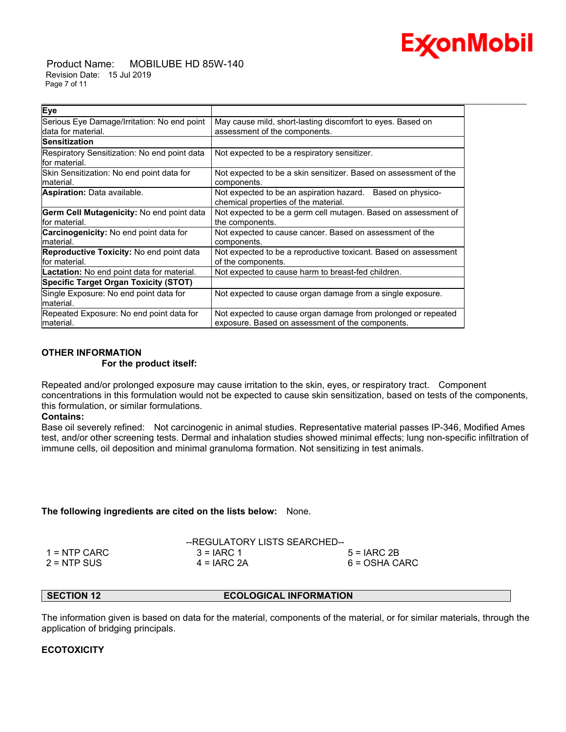

 Product Name: MOBILUBE HD 85W-140 Revision Date: 15 Jul 2019 Page 7 of 11

| Eye                                               |                                                                  |  |  |
|---------------------------------------------------|------------------------------------------------------------------|--|--|
| Serious Eye Damage/Irritation: No end point       | May cause mild, short-lasting discomfort to eyes. Based on       |  |  |
| data for material.                                | assessment of the components.                                    |  |  |
| <b>Sensitization</b>                              |                                                                  |  |  |
| Respiratory Sensitization: No end point data      | Not expected to be a respiratory sensitizer.                     |  |  |
| lfor material.                                    |                                                                  |  |  |
| Skin Sensitization: No end point data for         | Not expected to be a skin sensitizer. Based on assessment of the |  |  |
| material.                                         | components.                                                      |  |  |
| <b>Aspiration:</b> Data available.                | Not expected to be an aspiration hazard. Based on physico-       |  |  |
|                                                   | chemical properties of the material.                             |  |  |
| Germ Cell Mutagenicity: No end point data         | Not expected to be a germ cell mutagen. Based on assessment of   |  |  |
| lfor material.                                    | the components.                                                  |  |  |
| Carcinogenicity: No end point data for            | Not expected to cause cancer. Based on assessment of the         |  |  |
| material.                                         | components.                                                      |  |  |
| <b>Reproductive Toxicity:</b> No end point data   | Not expected to be a reproductive toxicant. Based on assessment  |  |  |
| lfor material.                                    | of the components.                                               |  |  |
| <b>Lactation:</b> No end point data for material. | Not expected to cause harm to breast-fed children.               |  |  |
| <b>Specific Target Organ Toxicity (STOT)</b>      |                                                                  |  |  |
| Single Exposure: No end point data for            | Not expected to cause organ damage from a single exposure.       |  |  |
| lmaterial.                                        |                                                                  |  |  |
| Repeated Exposure: No end point data for          | Not expected to cause organ damage from prolonged or repeated    |  |  |
| lmaterial.                                        | exposure. Based on assessment of the components.                 |  |  |

\_\_\_\_\_\_\_\_\_\_\_\_\_\_\_\_\_\_\_\_\_\_\_\_\_\_\_\_\_\_\_\_\_\_\_\_\_\_\_\_\_\_\_\_\_\_\_\_\_\_\_\_\_\_\_\_\_\_\_\_\_\_\_\_\_\_\_\_\_\_\_\_\_\_\_\_\_\_\_\_\_\_\_\_\_\_\_\_\_\_\_\_\_\_\_\_\_\_\_\_\_\_\_\_\_\_\_\_\_\_\_\_\_\_\_\_\_\_

#### **OTHER INFORMATION For the product itself:**

Repeated and/or prolonged exposure may cause irritation to the skin, eyes, or respiratory tract. Component concentrations in this formulation would not be expected to cause skin sensitization, based on tests of the components, this formulation, or similar formulations.

#### **Contains:**

Base oil severely refined: Not carcinogenic in animal studies. Representative material passes IP-346, Modified Ames test, and/or other screening tests. Dermal and inhalation studies showed minimal effects; lung non-specific infiltration of immune cells, oil deposition and minimal granuloma formation. Not sensitizing in test animals.

#### **The following ingredients are cited on the lists below:** None.

|               | --REGULATORY LISTS SEARCHED-- |               |  |
|---------------|-------------------------------|---------------|--|
| 1 = NTP CARC  | $3 = IARC 1$                  | $5 = IARC2B$  |  |
| $2 = NTP$ SUS | $4 = IARC 2A$                 | 6 = OSHA CARC |  |

## **SECTION 12 ECOLOGICAL INFORMATION**

The information given is based on data for the material, components of the material, or for similar materials, through the application of bridging principals.

#### **ECOTOXICITY**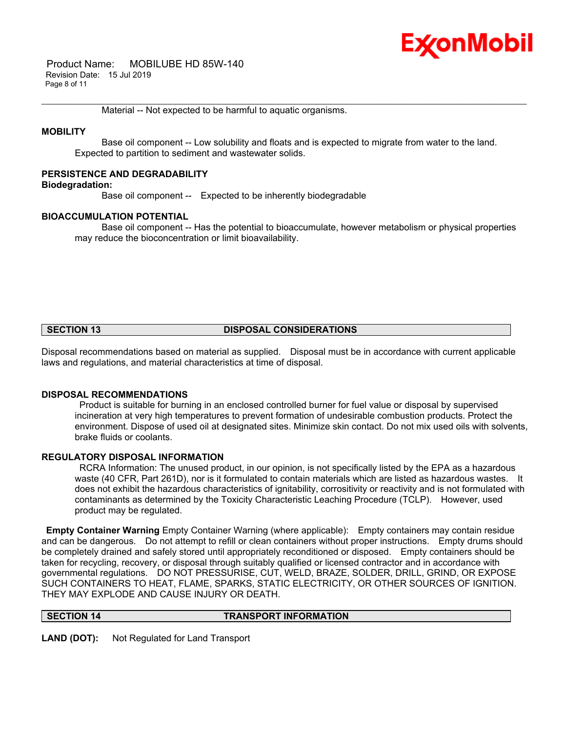## Ex⁄onMobil

 Product Name: MOBILUBE HD 85W-140 Revision Date: 15 Jul 2019 Page 8 of 11

Material -- Not expected to be harmful to aquatic organisms.

### **MOBILITY**

 Base oil component -- Low solubility and floats and is expected to migrate from water to the land. Expected to partition to sediment and wastewater solids.

\_\_\_\_\_\_\_\_\_\_\_\_\_\_\_\_\_\_\_\_\_\_\_\_\_\_\_\_\_\_\_\_\_\_\_\_\_\_\_\_\_\_\_\_\_\_\_\_\_\_\_\_\_\_\_\_\_\_\_\_\_\_\_\_\_\_\_\_\_\_\_\_\_\_\_\_\_\_\_\_\_\_\_\_\_\_\_\_\_\_\_\_\_\_\_\_\_\_\_\_\_\_\_\_\_\_\_\_\_\_\_\_\_\_\_\_\_\_

#### **PERSISTENCE AND DEGRADABILITY**

#### **Biodegradation:**

Base oil component -- Expected to be inherently biodegradable

#### **BIOACCUMULATION POTENTIAL**

 Base oil component -- Has the potential to bioaccumulate, however metabolism or physical properties may reduce the bioconcentration or limit bioavailability.

## **SECTION 13 DISPOSAL CONSIDERATIONS**

Disposal recommendations based on material as supplied. Disposal must be in accordance with current applicable laws and regulations, and material characteristics at time of disposal.

#### **DISPOSAL RECOMMENDATIONS**

 Product is suitable for burning in an enclosed controlled burner for fuel value or disposal by supervised incineration at very high temperatures to prevent formation of undesirable combustion products. Protect the environment. Dispose of used oil at designated sites. Minimize skin contact. Do not mix used oils with solvents, brake fluids or coolants.

## **REGULATORY DISPOSAL INFORMATION**

 RCRA Information: The unused product, in our opinion, is not specifically listed by the EPA as a hazardous waste (40 CFR, Part 261D), nor is it formulated to contain materials which are listed as hazardous wastes. It does not exhibit the hazardous characteristics of ignitability, corrositivity or reactivity and is not formulated with contaminants as determined by the Toxicity Characteristic Leaching Procedure (TCLP). However, used product may be regulated.

**Empty Container Warning** Empty Container Warning (where applicable): Empty containers may contain residue and can be dangerous. Do not attempt to refill or clean containers without proper instructions. Empty drums should be completely drained and safely stored until appropriately reconditioned or disposed. Empty containers should be taken for recycling, recovery, or disposal through suitably qualified or licensed contractor and in accordance with governmental regulations. DO NOT PRESSURISE, CUT, WELD, BRAZE, SOLDER, DRILL, GRIND, OR EXPOSE SUCH CONTAINERS TO HEAT, FLAME, SPARKS, STATIC ELECTRICITY, OR OTHER SOURCES OF IGNITION. THEY MAY EXPLODE AND CAUSE INJURY OR DEATH.

#### **SECTION 14 TRANSPORT INFORMATION**

**LAND (DOT):** Not Regulated for Land Transport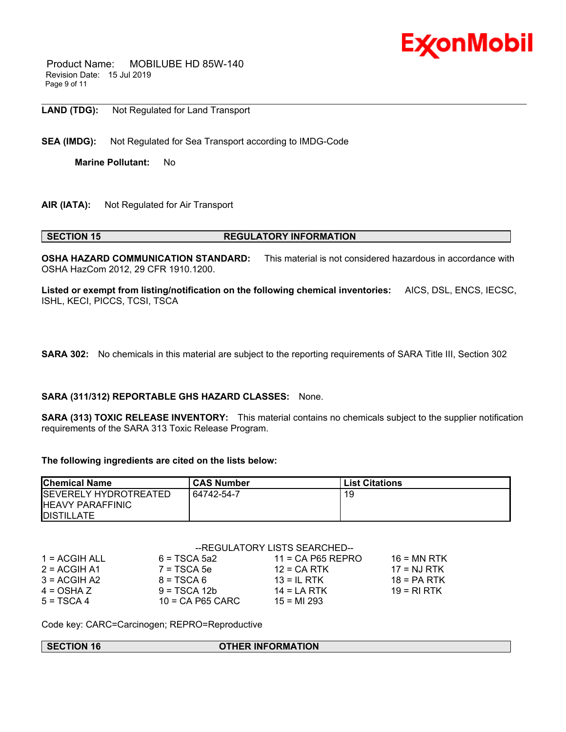

 Product Name: MOBILUBE HD 85W-140 Revision Date: 15 Jul 2019 Page 9 of 11

**LAND (TDG):** Not Regulated for Land Transport

**SEA (IMDG):** Not Regulated for Sea Transport according to IMDG-Code

**Marine Pollutant:** No

**AIR (IATA):** Not Regulated for Air Transport

#### **SECTION 15 REGULATORY INFORMATION**

**OSHA HAZARD COMMUNICATION STANDARD:** This material is not considered hazardous in accordance with OSHA HazCom 2012, 29 CFR 1910.1200.

\_\_\_\_\_\_\_\_\_\_\_\_\_\_\_\_\_\_\_\_\_\_\_\_\_\_\_\_\_\_\_\_\_\_\_\_\_\_\_\_\_\_\_\_\_\_\_\_\_\_\_\_\_\_\_\_\_\_\_\_\_\_\_\_\_\_\_\_\_\_\_\_\_\_\_\_\_\_\_\_\_\_\_\_\_\_\_\_\_\_\_\_\_\_\_\_\_\_\_\_\_\_\_\_\_\_\_\_\_\_\_\_\_\_\_\_\_\_

**Listed or exempt from listing/notification on the following chemical inventories:** AICS, DSL, ENCS, IECSC, ISHL, KECI, PICCS, TCSI, TSCA

**SARA 302:** No chemicals in this material are subject to the reporting requirements of SARA Title III, Section 302

#### **SARA (311/312) REPORTABLE GHS HAZARD CLASSES:** None.

**SARA (313) TOXIC RELEASE INVENTORY:** This material contains no chemicals subject to the supplier notification requirements of the SARA 313 Toxic Release Program.

#### **The following ingredients are cited on the lists below:**

| <b>Chemical Name</b>                                                           | <b>CAS Number</b> | <b>List Citations</b> |
|--------------------------------------------------------------------------------|-------------------|-----------------------|
| <b>ISEVERELY HYDROTREATED</b><br><b>HEAVY PARAFFINIC</b><br><b>IDISTILLATE</b> | 64742-54-7        | 19                    |

|                 | --REGULATORY LISTS SEARCHED-- |                     |               |
|-----------------|-------------------------------|---------------------|---------------|
| $1 = ACGIH ALL$ | $6 = TSCA 5a2$                | $11 = CA$ P65 REPRO | $16$ = MN RTK |
| $2 = ACGIH A1$  | $7 = TSCA5e$                  | $12 = CA RTK$       | $17 = NJ RTK$ |
| $3 = ACGIH A2$  | $8 = TSCA6$                   | $13 = IL$ RTK       | $18 = PA RTK$ |
| $4 = OSHA Z$    | $9 = TSCA 12b$                | 14 = LA RTK         | $19 = R1 RTK$ |
| $5 = TSCA 4$    | $10$ = CA P65 CARC            | $15 = M1 293$       |               |

Code key: CARC=Carcinogen; REPRO=Reproductive

#### **SECTION 16 OTHER INFORMATION**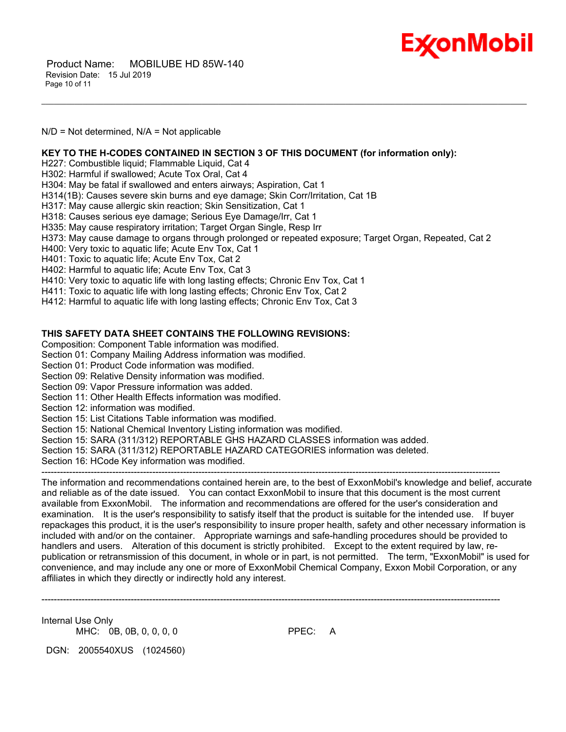

 Product Name: MOBILUBE HD 85W-140 Revision Date: 15 Jul 2019 Page 10 of 11

N/D = Not determined, N/A = Not applicable

**KEY TO THE H-CODES CONTAINED IN SECTION 3 OF THIS DOCUMENT (for information only):**

H227: Combustible liquid; Flammable Liquid, Cat 4

H302: Harmful if swallowed; Acute Tox Oral, Cat 4

H304: May be fatal if swallowed and enters airways; Aspiration, Cat 1

H314(1B): Causes severe skin burns and eye damage; Skin Corr/Irritation, Cat 1B

H317: May cause allergic skin reaction; Skin Sensitization, Cat 1

H318: Causes serious eye damage; Serious Eye Damage/Irr, Cat 1

H335: May cause respiratory irritation; Target Organ Single, Resp Irr

H373: May cause damage to organs through prolonged or repeated exposure; Target Organ, Repeated, Cat 2

\_\_\_\_\_\_\_\_\_\_\_\_\_\_\_\_\_\_\_\_\_\_\_\_\_\_\_\_\_\_\_\_\_\_\_\_\_\_\_\_\_\_\_\_\_\_\_\_\_\_\_\_\_\_\_\_\_\_\_\_\_\_\_\_\_\_\_\_\_\_\_\_\_\_\_\_\_\_\_\_\_\_\_\_\_\_\_\_\_\_\_\_\_\_\_\_\_\_\_\_\_\_\_\_\_\_\_\_\_\_\_\_\_\_\_\_\_\_

H400: Very toxic to aquatic life; Acute Env Tox, Cat 1

H401: Toxic to aquatic life; Acute Env Tox, Cat 2

H402: Harmful to aquatic life; Acute Env Tox, Cat 3

H410: Very toxic to aquatic life with long lasting effects; Chronic Env Tox, Cat 1

H411: Toxic to aquatic life with long lasting effects; Chronic Env Tox, Cat 2

H412: Harmful to aquatic life with long lasting effects; Chronic Env Tox, Cat 3

#### **THIS SAFETY DATA SHEET CONTAINS THE FOLLOWING REVISIONS:**

Composition: Component Table information was modified.

Section 01: Company Mailing Address information was modified.

Section 01: Product Code information was modified.

Section 09: Relative Density information was modified.

Section 09: Vapor Pressure information was added.

Section 11: Other Health Effects information was modified.

Section 12: information was modified.

Section 15: List Citations Table information was modified.

Section 15: National Chemical Inventory Listing information was modified.

Section 15: SARA (311/312) REPORTABLE GHS HAZARD CLASSES information was added.

Section 15: SARA (311/312) REPORTABLE HAZARD CATEGORIES information was deleted.

Section 16: HCode Key information was modified.

The information and recommendations contained herein are, to the best of ExxonMobil's knowledge and belief, accurate and reliable as of the date issued. You can contact ExxonMobil to insure that this document is the most current available from ExxonMobil. The information and recommendations are offered for the user's consideration and examination. It is the user's responsibility to satisfy itself that the product is suitable for the intended use. If buyer repackages this product, it is the user's responsibility to insure proper health, safety and other necessary information is included with and/or on the container. Appropriate warnings and safe-handling procedures should be provided to handlers and users. Alteration of this document is strictly prohibited. Except to the extent required by law, republication or retransmission of this document, in whole or in part, is not permitted. The term, "ExxonMobil" is used for convenience, and may include any one or more of ExxonMobil Chemical Company, Exxon Mobil Corporation, or any affiliates in which they directly or indirectly hold any interest.

-----------------------------------------------------------------------------------------------------------------------------------------------------

-----------------------------------------------------------------------------------------------------------------------------------------------------

Internal Use Only MHC: 0B, 0B, 0, 0, 0, 0

DGN: 2005540XUS (1024560)